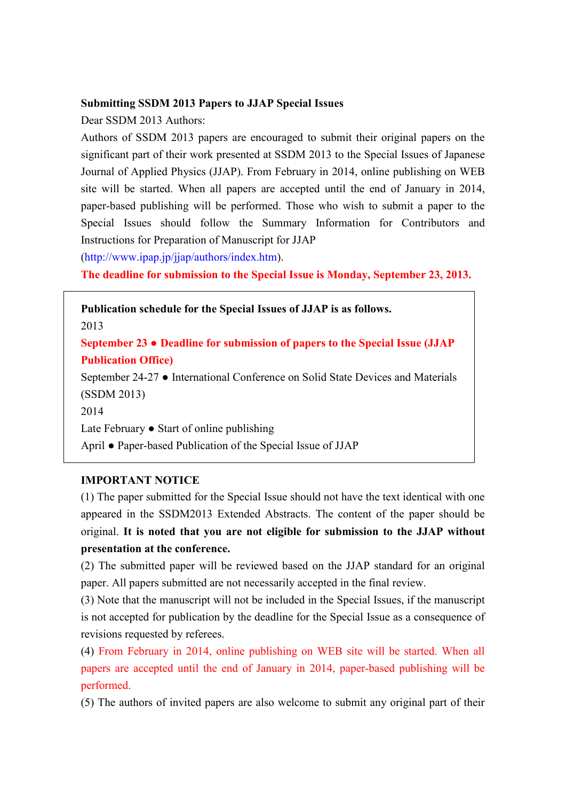## **Submitting SSDM 2013 Papers to JJAP Special Issues**

Dear SSDM 2013 Authors:

Authors of SSDM 2013 papers are encouraged to submit their original papers on the significant part of their work presented at SSDM 2013 to the Special Issues of Japanese Journal of Applied Physics (JJAP). From February in 2014, online publishing on WEB site will be started. When all papers are accepted until the end of January in 2014, paper-based publishing will be performed. Those who wish to submit a paper to the Special Issues should follow the Summary Information for Contributors and Instructions for Preparation of Manuscript for JJAP

(http://www.ipap.jp/jjap/authors/index.htm).

**The deadline for submission to the Special Issue is Monday, September 23, 2013.** 

**Publication schedule for the Special Issues of JJAP is as follows.**  2013 **September 23** ● **Deadline for submission of papers to the Special Issue (JJAP Publication Office)**  September 24-27 ● International Conference on Solid State Devices and Materials (SSDM 2013) 2014 Late February ● Start of online publishing April ● Paper-based Publication of the Special Issue of JJAP

## **IMPORTANT NOTICE**

(1) The paper submitted for the Special Issue should not have the text identical with one appeared in the SSDM2013 Extended Abstracts. The content of the paper should be original. **It is noted that you are not eligible for submission to the JJAP without presentation at the conference.** 

(2) The submitted paper will be reviewed based on the JJAP standard for an original paper. All papers submitted are not necessarily accepted in the final review.

(3) Note that the manuscript will not be included in the Special Issues, if the manuscript is not accepted for publication by the deadline for the Special Issue as a consequence of revisions requested by referees.

(4) From February in 2014, online publishing on WEB site will be started. When all papers are accepted until the end of January in 2014, paper-based publishing will be performed.

(5) The authors of invited papers are also welcome to submit any original part of their